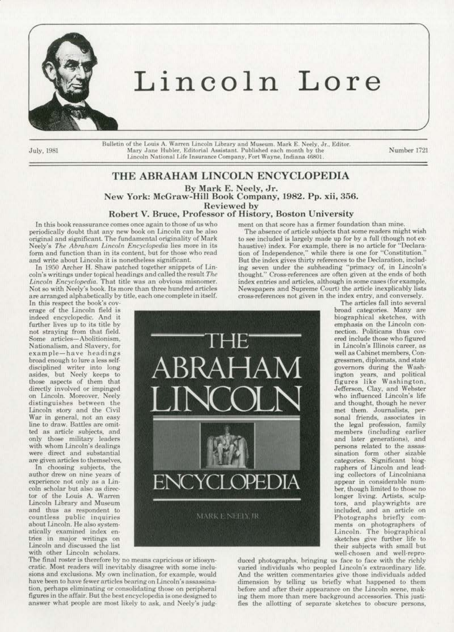

## **Lincoln Lore**

Bulletin of the Louis A. Warren Lincoln Library and Museum. Mark E. Neely, Jr., Editor. July, 1981 Mary Jane Hubler, Editorial Assistant. Published each month by the Number 1721 Lincoln National Life Insurance Company. Fort Wayne. Indjana 46801.

## THE ABRAHAM LINCOLN ENCYCLOPEDIA By Mark E. Neely, Jr. New York: McGraw-Hill Book Company, 1982. Pp. xii, 356. Robert V. Bruce, Professor of History, Boston University

In this book reassurance comes once again to those of us who periodically doubt that any new book on Lincoln can be also original and significant The fundamental originality of Mark Neely's *The Abraham Lincoln Encyclopedia* lies more in its form and function than in its content, but for those who read and write about Lincoln it is nonetheless significant.

In 1950 Archer H. Shaw patched together snippets of Lincoln's writings under topical headings and called the result *The* Lincoln Encyclopedia. That title was an obvious misnomer.<br>Not so with Neely's book. Its more than three hundred articles are arranged alphabetically by title, each one complete in itself.

fn this respect the book's *cov·*  erage of the Lincoln field is indeed encyclopedic. And it further lives up to its title by<br>not straying from that field. Some articles-Abolitionism. Nationalism, and Slavery, for example-have headings<br>broad enough to lure a less selfbroad enough to lure a less self-<br>disciplined writer into long asides. but Neely keeps to those aspects of them that<br>directly involved or impinged on Lincoln. Moreover, Neely distinguishes between the Lincoln story and the Civil War in general, not an easy line to draw. Battles are omitonly those military leaders with whom Lincoln's dealings were direct and substantial are given articles to themselves,

In choosing subjects, the<br>author drew on nine years of experience not only as a Lincoln scholar but also as director of the Louis A. Warren Lincoln Library and Museum and thus as respondent to countless public inquiries about Lincoln. He also system· atieally examined index en· tries in major writings on Lincoln and discussed the list with other Lincoln scholars.

The final roster is therefore by no means capricious or idiosyncratic. Most readers will inevitably disagree with some inclusions and exclusions. My own inclination, for example, would have been to have fewer articles bearing on Lincoln's assassination, perhaps eliminating or consolidating those on peripheral figures in the affair. But the best encyclopedia is one designed to answer what people are most likely to ask, and Neely's judgment on that score has a firmer foundation than mine. The absence of article subjects that some readers might wish to see included is largely made up for by a full (though not exhaustive) index. For example, there is no article for "Declaration of Independence," while there is one for "Constitution." But the index gives thirty references to the Declaration, including seven under the subheading "primacy of, in Lincoln's

thought." Cross-references are often given at the ends of both index entries and articles, although in some cases (for example, Newspapers and Supreme Court) the article inexplicably lists.

cross-references not given in the index entry, and conversely.

THE BRAHA LINCOLN War in general, not an easy<br>line to draw. Battles are omitted as article subjects, and ltm . ENCY MARK E NEELY, IR

The articles fall into seveml broad categories. Many are biographical sketches, with emphasis on the Lincoln oon· nection. Politicans thus cov· ered include those who figured in Lincoln's Illinois career, as well as Cabinet members, *Ccm·*  gressmen, diplomats, and state governors during the Wash· ington years, and politicaJ figures like Washington, Jefferson, Clay, and Webster<br>who influenced Lincoln's life and thought. though he never met. them. Journalists, personal friends, associates in the legal profession. family members (including earlier and later generations). and persons related to the assassination form other sizable categories. Significant. biographers of Lincoln and lead· ing collectors of Lincolniana appear in considerable num· ber, though limited to those no longer living. Artists, sculptors, and playwrights are<br>included, and an article on Photographs briefly comments on photographers of Lincoln. The biographical sketches give further life to their subjects with small but well-chosen and well-repro-

duced photographs, bringing us face to face with the richly varied individuals who peopled lincoln's extraordinary life. And the written commentaries give those individuals added dimension by telling us briefly what happened to them before and after their appearance on the Lincoln scene. mak· ing them more than mere background accessories. This justifies the allotting of separate sketches to obscure persons,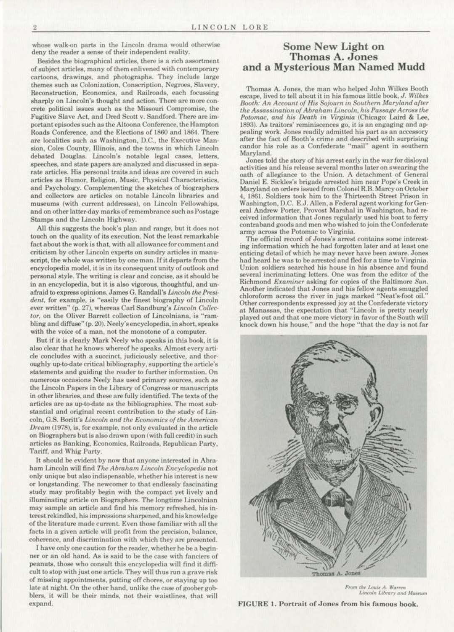whose walk-on parts in the Lincoln drama would otherwise deny the reader a sense of their independent reality.

Besides the biographical articles, there is a rich assortment of subject articles, many of them enlivened with contemporary cartoons, drawings, and photographs. They include large themes such as Colonization, Conscription, Negroes, Slavery, Reconstruction, Economics, and Railroads, each focussing sharply on Lincoln's thought and action. There are more con· crete political issues such as the Missouri Compromise, the Fugitive Slave Act, and Dred Scott v. Sandford. There are important episodes such as the Altoona Conference, the Hampton Roads Conference. and the Elections of 1860 and 1864. There are localities such as Washington. D.C., the Executive Man· sion, Coles County, Illinois, and the towns in which Lincoln debated Douglas. Lincoln's notable legal cases, letters, speeches, and state papers are analyzed and discussed in separate articles. His personal traits and ideas are covered in such articles as Humor, Religion, Music, Physical Characteristics. and Psychology. Complementing the sketches of biographers and collectors are articles on notable Lincoln libraries and museums (with current addresses), on Lincoln Fellowships. and on other latter-day marks of remembrance such as Postage Stampa and the Lincoln Highway.

All this suggests the book's plan and range, but it does not touch on the quality of its execution. Not the least remarkable fact about the work is that, with all allowance for comment and criticism by other Lincoln experts on sundry articles in manuscript, the whole was written by one man. If it departs from the encyclopedia model, it is in its consequent unity of outlook and personal style. The writing is clear and concise, as it should be in an encyclopedia, but it is also vigorous, thoughtful, and unafraid to express opinions. James G. Randall's *Lincoln lhe Presi· dent*, for example, is "easily the finest biography of Lincoln ever written" (p. 27), whereas Carl Sandburg's *Lincoln Collec*tor, on the Oliver Barrett collection of Lincolniana, is "rambling and diffuse" (p. 20). Neely'sencyclopodia, in short, speaks with the voice of a man, not the monotone of a computer.

But if it is clearly Mark Neely who speaks in this book, it is also clear that he knows whereof he speaks. Almost every arti· cle concludes with a succinct, judiciously selective, and thoroughly up-to-date critical bibliography, supporting the article's statements and guiding the reader to further information. On numerous occasions Neely has used primary sources, such as the Lincoln Papers in the Library of Congress or manuscripts in other libraries, and these are fully identified. The texts of the articles are as up-to-date as the bibliographies. The most substantial and original recent contribution to the study of Lin· coln. G.S. Boritt's *Lincoln and the Economics of the American Dream* (1978), is, for example. not only evaluated in the article on Biographers but is also drawn upon (with full credit) in such articles as Banking. Economics. Railroads. Republican Party, Tariff, and Whig Party.

It should be evident by now that anyone interested in Abraham Lincoln will find *The Abraham Lincoln Encyclopedia* not only unique but also indispensable, whether his interest is new or longstanding. The newcomer to that endlessly fascinating study may profitably begin with the compact yet lively and illuminating article on Biographers. The longtime Lincolnian may sample an article and find his memory refreshed, his interest rekindled. his impressions sharpened, and his knowledge of the literature made current. Even those familiar with all the facts in a given article will profit from the precision, balance, coherence, and discrimination with which they are presented.

I have only one caution for the reader, whether he be a begin· ner or an old hand. As is said to be the case with fanciers or peanuts, those who consult this encyclopedia will find it difficult to stop with just one article. They will thus run a grave risk of missing appointments, putting off chores, or staying up too late at night. On the other hand, unlike the case of goober gobblers, it will be their minds, not their waistlines, that will expand.

## Some New Light on Thomas A. Jones and a Mysterious Man Named Mudd

Thomas A. Jones, the man who helped John Wilkes Booth escape, lived to tell about it in his famous little book, *J. Wilkes* Booth: An Account of His Sojourn in Southern Maryland after *the Assassination of Abraham Lincoln, his Passage Across the* Potomac, and his Death in Virginia (Chicago: Laird & Lee, 1893). As traitors' reminiscences go, it is an engaging and appealing work. Jones readily admitted his part as an accessory after the fact of Booth's crime and described with surprising candor his role as a Confederate "mail" agent in southern Maryland.

Jones told the story of his arrest early in the war for disloyal activities and his release several months later on swearing the oath of allegiance to the Union. A detachment of General Daniel E. Sickles's brigade arrested him near Pope's Creek in Maryland on orders issued from Colonel R.B. Marcy on October 4, 1861. Soldiers took him to the Thirteenth Street Prison in Washington, D.C. E.J. Allen, a Federal agent working for Genera) Andrew Porter, Provost Marshal in Washington, had received information that Jones regularly used his boat to ferry contraband goods and men who wished to join the Confederate army across the Potomac to Virginia.

The official record of Jones's arrest contains some interest· ing information which he had forgotten later and at least one enticing detail of which he may never have been aware. Jones had heard he was to be arrested and fled for a time to Virginia. Union soldiers searched his house in his absence and found several incriminating letters. One was from the editor of the Richmond *Examiner* asking for copies of the Baltimore *Sun.*  Another indicated that Jones and his fellow agents smuggled chloroform across the river in jugs marked "Neat's-foot oil." Other correspondents expressed joy at the Confederate victory at Manassas, the expectation that "Lincoln is pretty nearly played out and that one more victory in favor of the South will knock down his house," and the hope "that the day is not far



From the Louis A. Warren<br>Lincoln Library and Museum

FIGURE I. Portrait of Jones from his famous book.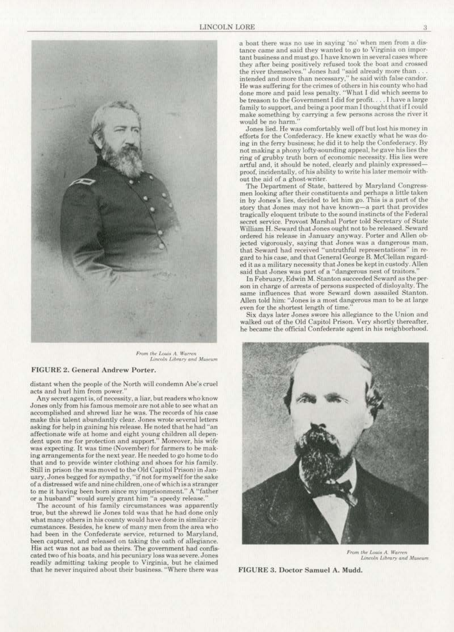

From the Louis A. Warren<br>Lincoln Library and Museum

## FIGURE 2. General Andrew Porter.

distant when the people of the North will condemn Abe's cruel acts and hurl him from power.

Any secret agent is, of necessity, a liar, but readers who know Jones only from his famous memoir are not able to see what an<br>accomplished and shrewd liar he was. The records of his case make this talent abundantly clear. Jones wrote several letters asking for help in gaining his release. He noted that he had "an affectionate wife at home and eight young children all dependent upon me for protection and support." Moreover, his wife was expecting. It was time (November) for farmers to be making arrangements for the next year. He needed to go home to do that and to provide winter clothing and shoes for his family. Still in prison (he was moved to the Old Capitol Prison) in January, Jones begged for sympathy. "if not for myselffor the sake of n distressed wife and nine children, one of which is a stranger to me it having been born since my imprisonment." A "father or a husband" would surely grant him "a speedy release."

The account of his family circumstances was apparently true, but the shrewd lie Jones told was that he had done only what many others in his county would have done in similarcir· cumstances. Besides, he knew of many men from the area who had been in the Confederate service. returned to Maryland, been captured, and released on taking the oath of allegiance.<br>His act was not as bad as theirs. The government had confiscated two of his boats, and his pecuniary loss was severe. Jones readily admitting taking people to Virginia, but he claimed that he never inquired about their business. "Where there was

a boat there was no uae in saying 'no' when men from a dis· tance came and said they wanted to go *to* Virginia on impor· they after being positively refused took the boat and crossed<br>the river themselves." Jones had "said already more than ... intended and more than necessary." he said with false candor. He was suffering for the crimes of others in his county who had done more and paid less penalty. "What I did which seems to be treason to the Government I did for profit. ... I have a large family to support, and being a poor man I thought that if I could make something by carrying a few persons across the river it would be no harm.

Jones lied. He was comfortably well off but lost his money in efforts for the Confederacy. He knew exactly what he was doing in the ferry business; he did it to help the Confederacy. By not making a phony lofty-sounding appeal, he gave his lies the ring of grubby truth born of economic necessity. His lies were artful and, it should be noted, clearly and plainly expressedproof, incidentally, of his ability to write his later memoir without the aid of a ghost-writer.

The Department of State, battered by Maryland Congressmen looking after their constituents and perhaps a little taken in by Jones's lies, decided to let him go. This is a part of the story that Jones may not have known-a part that provides tragically eloquent tribute to the sound instincts of the Federal secret service. Provost Marshal Porter told Secretary of State. William H. Seward that Jones ought not to be released. Seward ordered his release in January anyway. Porter and Allen ob· jected vigorously, saying that Jones was a dangerous man, that Seward had received "untruthful representations" in regard to his case. and that General George B. McClellan regard· ed it as a military necessity that Jones be kept in custody. Allen said that Jones was part of a "dangerous nest of traitors.

In February, Edwin M. Stanton succeeded Seward as the person in charge of arrests of persons suspected of disloyalty. The Allen told him: "Jones is a most dangerous man to be at large even for the shortest length of time."<br>Six days later Jones swore his allegiance to the Union and

walked out of the Old Capitol Prison. Very shortly thereafter, he became the official Confederate agent in his neighborhood.



From the Louis A. Warren Lincoln Library and Museum

F IGURE 3. Doctor Samuel A. Mudd.